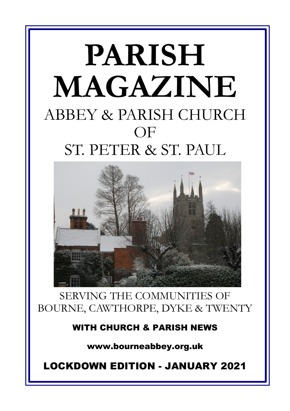# **PARISH MAGAZINE** ABBEY & PARISH CHURCH OF ST. PETER & ST. PAUL



SERVING THE COMMUNITIES OF BOURNE, CAWTHORPE, DYKE & TWENTY

**WITH CHURCH & PARISH NEWS**

**www.bourneabbey.org.uk**

**LOCKDOWN EDITION - JANUARY 2021**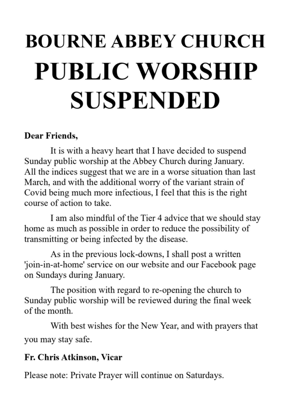# **BOURNE ABBEY CHURCH** PUBLIC WORSHIP **SUSPENDED**

# Dear Friends,

It is with a heavy heart that I have decided to suspend Sunday public worship at the Abbey Church during January. All the indices suggest that we are in a worse situation than last March, and with the additional worry of the variant strain of Covid being much more infectious. I feel that this is the right course of action to take.

I am also mindful of the Tier 4 advice that we should stay home as much as possible in order to reduce the possibility of transmitting or being infected by the disease.

As in the previous lock-downs, I shall post a written 'join-in-at-home' service on our website and our Facebook page on Sundays during January.

The position with regard to re-opening the church to Sunday public worship will be reviewed during the final week of the month.

With best wishes for the New Year, and with prayers that you may stay safe.

# Fr. Chris Atkinson, Vicar

Please note: Private Prayer will continue on Saturdays.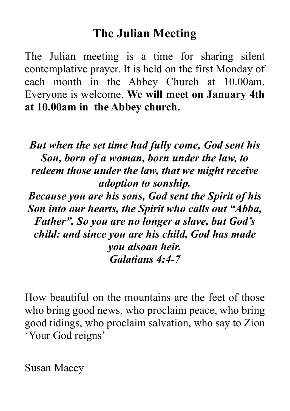# **The Julian Meeting**

The Julian meeting is a time for sharing silent contemplative prayer. It is held on the first Monday of each month in the Abbey Church at 10.00am. Everyone is welcome. **We will meet on January 4th at 10.00am in the Abbey church.**

*But when the set time had fully come, God sent his Son, born of a woman, born under the law, to redeem those under the law, that we might receive adoption to sonship.*

*Because you are his sons, God sent the Spirit of his Son into our hearts, the Spirit who calls out "Abba, Father". So you are no longer a slave, but God's child: and since you are his child, God has made you alsoan heir. Galatians 4:4-7*

How beautiful on the mountains are the feet of those who bring good news, who proclaim peace, who bring good tidings, who proclaim salvation, who say to Zion 'Your God reigns'

Susan Macey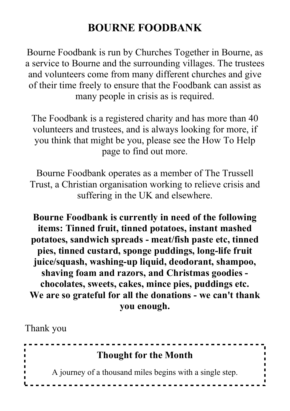# **BOURNE FOODBANK**

Bourne Foodbank is run by Churches Together in Bourne, as a service to Bourne and the surrounding villages. The trustees and volunteers come from many different churches and give of their time freely to ensure that the Foodbank can assist as many people in crisis as is required.

The Foodbank is a registered charity and has more than 40 volunteers and trustees, and is always looking for more, if you think that might be you, please see the How To Help page to find out more.

Bourne Foodbank operates as a member of The Trussell Trust, a Christian organisation working to relieve crisis and suffering in the UK and elsewhere.

**Bourne Foodbank is currently in need of the following items: Tinned fruit, tinned potatoes, instant mashed potatoes, sandwich spreads - meat/fish paste etc, tinned pies, tinned custard, sponge puddings, long-life fruit juice/squash, washing-up liquid, deodorant, shampoo, shaving foam and razors, and Christmas goodies chocolates, sweets, cakes, mince pies, puddings etc. We are so grateful for all the donations - we can't thank you enough.**

Thank you

| <b>Thought for the Month</b>                             |
|----------------------------------------------------------|
| A journey of a thousand miles begins with a single step. |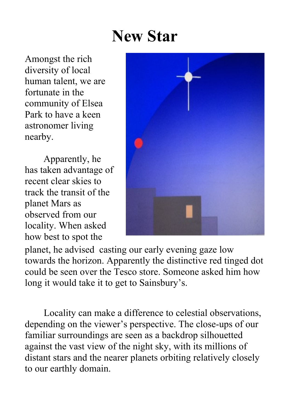# **New Star**

Amongst the rich diversity of local human talent, we are fortunate in the community of Elsea Park to have a keen astronomer living nearby.

Apparently, he has taken advantage of recent clear skies to track the transit of the planet Mars as observed from our locality. When asked how best to spot the



planet, he advised casting our early evening gaze low towards the horizon. Apparently the distinctive red tinged dot could be seen over the Tesco store. Someone asked him how long it would take it to get to Sainsbury's.

Locality can make a difference to celestial observations, depending on the viewer's perspective. The close-ups of our familiar surroundings are seen as a backdrop silhouetted against the vast view of the night sky, with its millions of distant stars and the nearer planets orbiting relatively closely to our earthly domain.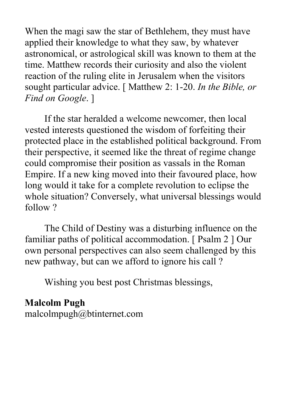When the magi saw the star of Bethlehem, they must have applied their knowledge to what they saw, by whatever astronomical, or astrological skill was known to them at the time. Matthew records their curiosity and also the violent reaction of the ruling elite in Jerusalem when the visitors sought particular advice. [ Matthew 2: 1-20. *In the Bible, or Find on Google*. ]

If the star heralded a welcome newcomer, then local vested interests questioned the wisdom of forfeiting their protected place in the established political background. From their perspective, it seemed like the threat of regime change could compromise their position as vassals in the Roman Empire. If a new king moved into their favoured place, how long would it take for a complete revolution to eclipse the whole situation? Conversely, what universal blessings would follow ?

The Child of Destiny was a disturbing influence on the familiar paths of political accommodation. [ Psalm 2 ] Our own personal perspectives can also seem challenged by this new pathway, but can we afford to ignore his call ?

Wishing you best post Christmas blessings,

### **Malcolm Pugh** malcolmpugh@btinternet.com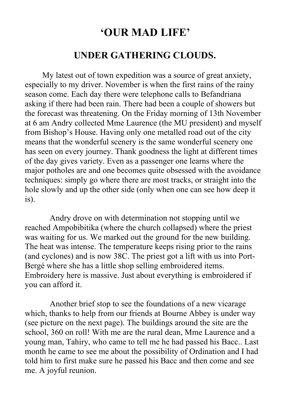# **'OUR MAD LIFE'**

#### **UNDER GATHERING CLOUDS.**

My latest out of town expedition was a source of great anxiety, especially to my driver. November is when the first rains of the rainy season come. Each day there were telephone calls to Befandriana asking if there had been rain. There had been a couple of showers but the forecast was threatening. On the Friday morning of 13th November at 6 am Andry collected Mme Laurence (the MU president) and myself from Bishop's House. Having only one metalled road out of the city means that the wonderful scenery is the same wonderful scenery one has seen on every journey. Thank goodness the light at different times of the day gives variety. Even as a passenger one learns where the major potholes are and one becomes quite obsessed with the avoidance techniques: simply go where there are most tracks, or straight into the hole slowly and up the other side (only when one can see how deep it is).

 Andry drove on with determination not stopping until we reached Ampobibitika (where the church collapsed) where the priest was waiting for us. We marked out the ground for the new building. The heat was intense. The temperature keeps rising prior to the rains (and cyclones) and is now 38C. The priest got a lift with us into Port-Bergé where she has a little shop selling embroidered items. Embroidery here is massive. Just about everything is embroidered if you can afford it.

 Another brief stop to see the foundations of a new vicarage which, thanks to help from our friends at Bourne Abbey is under way (see picture on the next page). The buildings around the site are the school, 360 on roll! With me are the rural dean, Mme Laurence and a young man, Tahiry, who came to tell me he had passed his Bacc.. Last month he came to see me about the possibility of Ordination and I had told him to first make sure he passed his Bacc and then come and see me. A joyful reunion.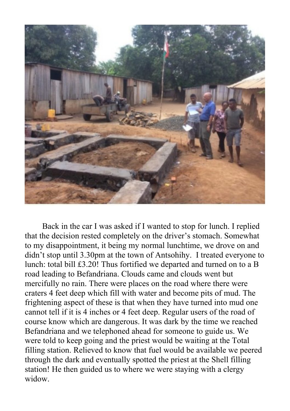

Back in the car I was asked if I wanted to stop for lunch. I replied that the decision rested completely on the driver's stomach. Somewhat to my disappointment, it being my normal lunchtime, we drove on and didn't stop until 3.30pm at the town of Antsohihy. I treated everyone to lunch: total bill £3.20! Thus fortified we departed and turned on to a B road leading to Befandriana. Clouds came and clouds went but mercifully no rain. There were places on the road where there were craters 4 feet deep which fill with water and become pits of mud. The frightening aspect of these is that when they have turned into mud one cannot tell if it is 4 inches or 4 feet deep. Regular users of the road of course know which are dangerous. It was dark by the time we reached Befandriana and we telephoned ahead for someone to guide us. We were told to keep going and the priest would be waiting at the Total filling station. Relieved to know that fuel would be available we peered through the dark and eventually spotted the priest at the Shell filling station! He then guided us to where we were staying with a clergy widow.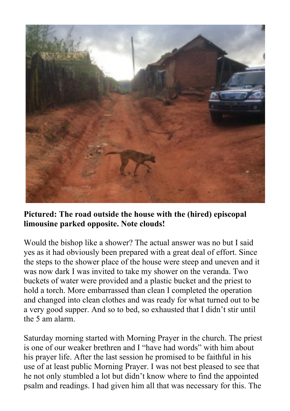

**Pictured: The road outside the house with the (hired) episcopal limousine parked opposite. Note clouds!**

Would the bishop like a shower? The actual answer was no but I said yes as it had obviously been prepared with a great deal of effort. Since the steps to the shower place of the house were steep and uneven and it was now dark I was invited to take my shower on the veranda. Two buckets of water were provided and a plastic bucket and the priest to hold a torch. More embarrassed than clean I completed the operation and changed into clean clothes and was ready for what turned out to be a very good supper. And so to bed, so exhausted that I didn't stir until the 5 am alarm.

Saturday morning started with Morning Prayer in the church. The priest is one of our weaker brethren and I "have had words" with him about his prayer life. After the last session he promised to be faithful in his use of at least public Morning Prayer. I was not best pleased to see that he not only stumbled a lot but didn't know where to find the appointed psalm and readings. I had given him all that was necessary for this. The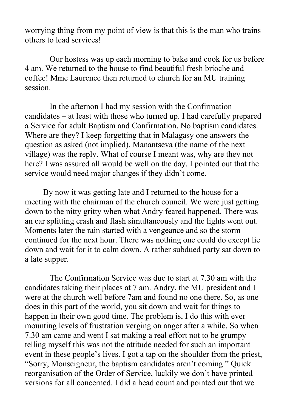worrying thing from my point of view is that this is the man who trains others to lead services!

 Our hostess was up each morning to bake and cook for us before 4 am. We returned to the house to find beautiful fresh brioche and coffee! Mme Laurence then returned to church for an MU training session.

 In the afternon I had my session with the Confirmation candidates – at least with those who turned up. I had carefully prepared a Service for adult Baptism and Confirmation. No baptism candidates. Where are they? I keep forgetting that in Malagasy one answers the question as asked (not implied). Manantseva (the name of the next village) was the reply. What of course I meant was, why are they not here? I was assured all would be well on the day. I pointed out that the service would need major changes if they didn't come.

By now it was getting late and I returned to the house for a meeting with the chairman of the church council. We were just getting down to the nitty gritty when what Andry feared happened. There was an ear splitting crash and flash simultaneously and the lights went out. Moments later the rain started with a vengeance and so the storm continued for the next hour. There was nothing one could do except lie down and wait for it to calm down. A rather subdued party sat down to a late supper.

 The Confirmation Service was due to start at 7.30 am with the candidates taking their places at 7 am. Andry, the MU president and I were at the church well before 7am and found no one there. So, as one does in this part of the world, you sit down and wait for things to happen in their own good time. The problem is, I do this with ever mounting levels of frustration verging on anger after a while. So when 7.30 am came and went I sat making a real effort not to be grumpy telling myself this was not the attitude needed for such an important event in these people's lives. I got a tap on the shoulder from the priest, "Sorry, Monseigneur, the baptism candidates aren't coming." Quick reorganisation of the Order of Service, luckily we don't have printed versions for all concerned. I did a head count and pointed out that we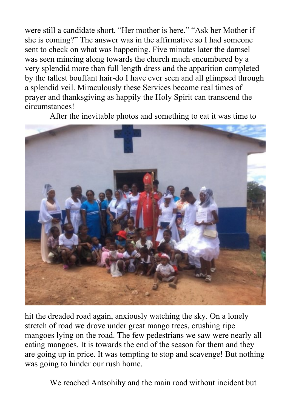were still a candidate short. "Her mother is here." "Ask her Mother if she is coming?" The answer was in the affirmative so I had someone sent to check on what was happening. Five minutes later the damsel was seen mincing along towards the church much encumbered by a very splendid more than full length dress and the apparition completed by the tallest bouffant hair-do I have ever seen and all glimpsed through a splendid veil. Miraculously these Services become real times of prayer and thanksgiving as happily the Holy Spirit can transcend the circumstances!

After the inevitable photos and something to eat it was time to



hit the dreaded road again, anxiously watching the sky. On a lonely stretch of road we drove under great mango trees, crushing ripe mangoes lying on the road. The few pedestrians we saw were nearly all eating mangoes. It is towards the end of the season for them and they are going up in price. It was tempting to stop and scavenge! But nothing was going to hinder our rush home.

We reached Antsohihy and the main road without incident but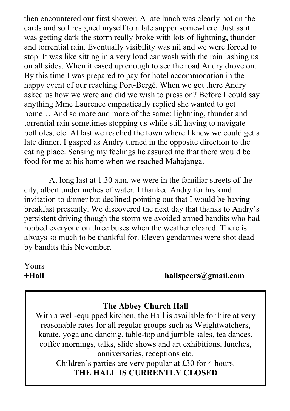then encountered our first shower. A late lunch was clearly not on the cards and so I resigned myself to a late supper somewhere. Just as it was getting dark the storm really broke with lots of lightning, thunder and torrential rain. Eventually visibility was nil and we were forced to stop. It was like sitting in a very loud car wash with the rain lashing us on all sides. When it eased up enough to see the road Andry drove on. By this time I was prepared to pay for hotel accommodation in the happy event of our reaching Port-Bergé. When we got there Andry asked us how we were and did we wish to press on? Before I could say anything Mme Laurence emphatically replied she wanted to get home... And so more and more of the same: lightning, thunder and torrential rain sometimes stopping us while still having to navigate potholes, etc. At last we reached the town where I knew we could get a late dinner. I gasped as Andry turned in the opposite direction to the eating place. Sensing my feelings he assured me that there would be food for me at his home when we reached Mahajanga.

 At long last at 1.30 a.m. we were in the familiar streets of the city, albeit under inches of water. I thanked Andry for his kind invitation to dinner but declined pointing out that I would be having breakfast presently. We discovered the next day that thanks to Andry's persistent driving though the storm we avoided armed bandits who had robbed everyone on three buses when the weather cleared. There is always so much to be thankful for. Eleven gendarmes were shot dead by bandits this November.

Yours

**+Hall hallspeers@gmail.com**

#### **The Abbey Church Hall**

With a well-equipped kitchen, the Hall is available for hire at very reasonable rates for all regular groups such as Weightwatchers, karate, yoga and dancing, table-top and jumble sales, tea dances, coffee mornings, talks, slide shows and art exhibitions, lunches, anniversaries, receptions etc.

Children's parties are very popular at £30 for 4 hours. **THE HALL IS CURRENTLY CLOSED**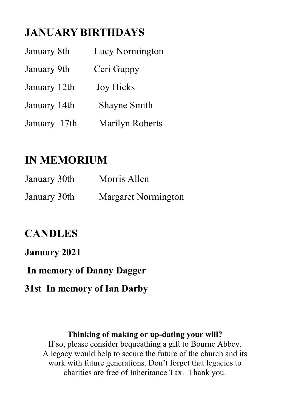# **JANUARY BIRTHDAYS**

| January 8th  | Lucy Normington  |
|--------------|------------------|
| January 9th  | Ceri Guppy       |
| January 12th | <b>Joy Hicks</b> |
| January 14th | Shayne Smith     |
| January 17th | Marilyn Roberts  |

# **IN MEMORIUM**

| January 30th | Morris Allen        |
|--------------|---------------------|
| January 30th | Margaret Normington |

# **CANDLES**

### **January 2021**

 **In memory of Danny Dagger**

# **31st In memory of Ian Darby**

#### **Thinking of making or up-dating your will?**

If so, please consider bequeathing a gift to Bourne Abbey. A legacy would help to secure the future of the church and its work with future generations. Don't forget that legacies to charities are free of Inheritance Tax. Thank you.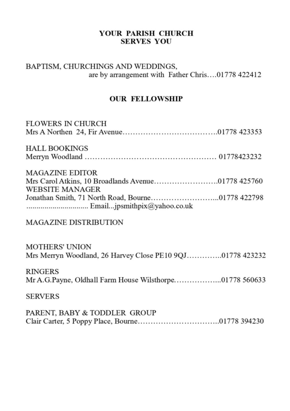#### YOUR PARISH CHURCH **SERVES YOU**

#### BAPTISM, CHURCHINGS AND WEDDINGS, are by arrangement with Father Chris....01778 422412

#### **OUR FELLOWSHIP**

| <b>FLOWERS IN CHURCH</b>                                                                               |
|--------------------------------------------------------------------------------------------------------|
| <b>HALL BOOKINGS</b>                                                                                   |
| <b>MAGAZINE EDITOR</b><br>Mrs Carol Atkins, 10 Broadlands Avenue01778 425760<br><b>WEBSITE MANAGER</b> |
|                                                                                                        |
| <b>MAGAZINE DISTRIBUTION</b>                                                                           |
| <b>MOTHERS' UNION</b><br>Mrs Merryn Woodland, 26 Harvey Close PE10 9QJ01778 423232                     |
| <b>RINGERS</b><br>Mr A.G.Payne, Oldhall Farm House Wilsthorpe01778 560633                              |
| <b>SERVERS</b>                                                                                         |
| PARENT, BABY & TODDLER GROUP                                                                           |
|                                                                                                        |